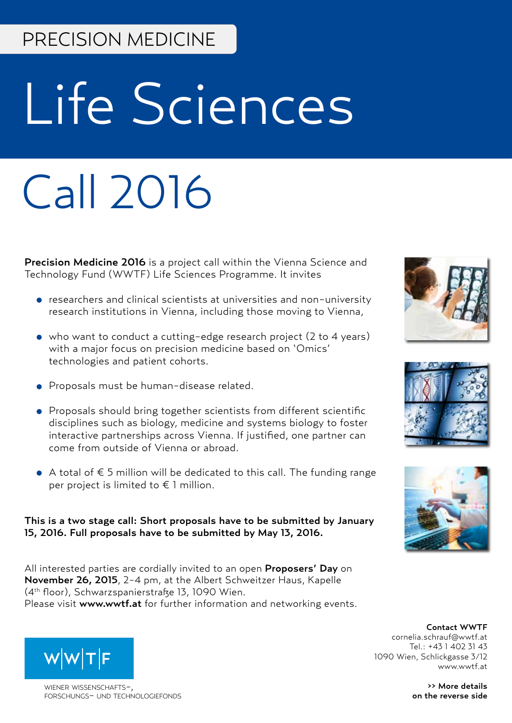## PRECISION MEDICINE

# Life Sciences

# Call 2016

Precision Medicine 2016 is a project call within the Vienna Science and Technology Fund (WWTF) Life Sciences Programme. It invites

- researchers and clinical scientists at universities and non-university research institutions in Vienna, including those moving to Vienna,
- who want to conduct a cutting-edge research project (2 to 4 years) with a major focus on precision medicine based on 'Omics' technologies and patient cohorts.
- Proposals must be human-disease related.
- Proposals should bring together scientists from different scientific disciplines such as biology, medicine and systems biology to foster interactive partnerships across Vienna. If justified, one partner can come from outside of Vienna or abroad.
- A total of € 5 million will be dedicated to this call. The funding range per project is limited to € 1 million.

This is a two stage call: Short proposals have to be submitted by January 15, 2016. Full proposals have to be submitted by May 13, 2016.

All interested parties are cordially invited to an open Proposers' Day on November 26, 2015, 2-4 pm, at the Albert Schweitzer Haus, Kapelle (4th floor), Schwarzspanierstraße 13, 1090 Wien. Please visit [www.wwtf.at](http://www.wwtf.at) for further information and networking events.







Contact WWTF cornelia.schrauf[@wwtf.at](mailto:alexander.woehrer%40wwtf.at%20?subject=ICT15%20Call) Tel.: +43 1 402 31 43 1090 Wien, Schlickgasse 3/12 [www.wwtf.at](http://www.wwtf.at)

> >> More details on the reverse side



WIENER WISSENSCHAFTSforschungs- und technologiefonds